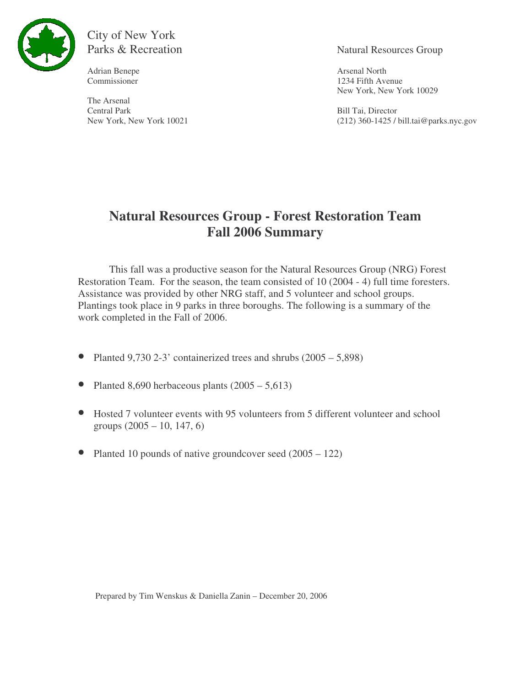

## City of New York Parks & Recreation Natural Resources Group

Adrian Benepe **Arsenal North** 

The Arsenal Central Park Bill Tai, Director<br>
New York 10021 (212) 360-1425 / 1

Commissioner 1234 Fifth Avenue New York, New York 10029

 $(212)$  360-1425 / bill.tai@parks.nyc.gov

# **Natural Resources Group - Forest Restoration Team Fall 2006 Summary**

This fall was a productive season for the Natural Resources Group (NRG) Forest Restoration Team. For the season, the team consisted of 10 (2004 - 4) full time foresters. Assistance was provided by other NRG staff, and 5 volunteer and school groups. Plantings took place in 9 parks in three boroughs. The following is a summary of the work completed in the Fall of 2006.

- Planted  $9,730$  2-3' containerized trees and shrubs  $(2005 5,898)$
- Planted 8,690 herbaceous plants  $(2005 5,613)$
- Hosted 7 volunteer events with 95 volunteers from 5 different volunteer and school groups (2005 – 10, 147, 6)
- Planted 10 pounds of native groundcover seed (2005 122)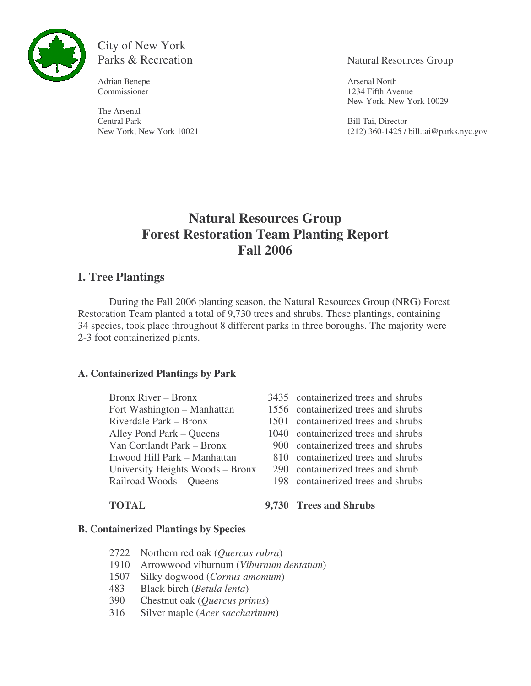

City of New York

Adrian Benepe **Arsenal North** 

The Arsenal Central Park Bill Tai, Director<br>
New York 10021 (212) 360-1425 / 1

Parks & Recreation Natural Resources Group

Commissioner 1234 Fifth Avenue New York, New York 10029

 $(212)$  360-1425 / bill.tai@parks.nyc.gov

## **Natural Resources Group Forest Restoration Team Planting Report Fall 2006**

### **I. Tree Plantings**

During the Fall 2006 planting season, the Natural Resources Group (NRG) Forest Restoration Team planted a total of 9,730 trees and shrubs. These plantings, containing 34 species, took place throughout 8 different parks in three boroughs. The majority were 2-3 foot containerized plants.

#### **A. Containerized Plantings by Park**

Fort Washington – Manhattan 1556 containerized trees and shrubs Riverdale Park – Bronx 1501 containerized trees and shrubs Van Cortlandt Park – Bronx 900 containerized trees and shrubs University Heights Woods – Bronx 290 containerized trees and shrub

- Bronx River Bronx 3435 containerized trees and shrubs
	-
	-
- Alley Pond Park Queens 1040 containerized trees and shrubs
	-
- Inwood Hill Park Manhattan 810 containerized trees and shrubs
	-
- Railroad Woods Queens 198 containerized trees and shrubs

# **TOTAL 9,730 Trees and Shrubs**

#### **B. Containerized Plantings by Species**

- 2722 Northern red oak (*Quercus rubra*)
- 1910 Arrowwood viburnum (*Viburnum dentatum*)
- 1507 Silky dogwood (*Cornus amomum*)
- 483 Black birch (*Betula lenta*)
- 390 Chestnut oak (*Quercus prinus*)
- 316 Silver maple (*Acer saccharinum*)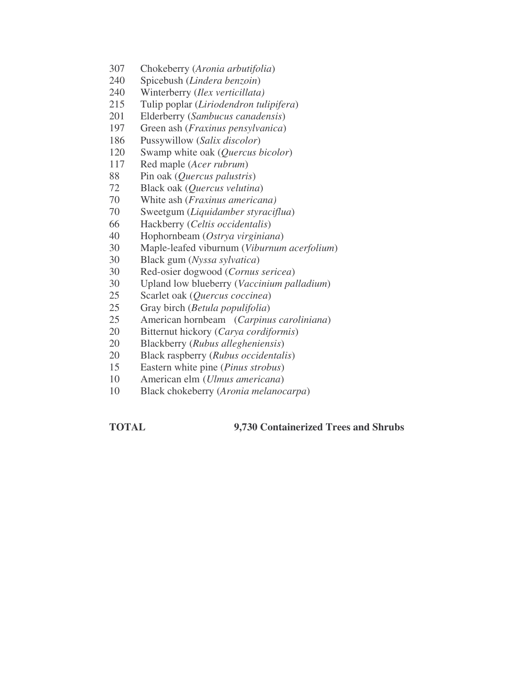- Chokeberry (*Aronia arbutifolia*)
- Spicebush (*Lindera benzoin*)
- Winterberry (*Ilex verticillata)*
- Tulip poplar (*Liriodendron tulipifera*)
- Elderberry (*Sambucus canadensis*)
- Green ash (*Fraxinus pensylvanica*)
- Pussywillow (*Salix discolor*)
- Swamp white oak (*Quercus bicolor*)
- Red maple (*Acer rubrum*)
- Pin oak (*Quercus palustris*)
- Black oak (*Quercus velutina*)
- White ash (*Fraxinus americana)*
- Sweetgum (*Liquidamber styraciflua*)
- Hackberry (*Celtis occidentalis*)
- Hophornbeam (*Ostrya virginiana*)
- Maple-leafed viburnum (*Viburnum acerfolium*)
- Black gum (*Nyssa sylvatica*)
- Red-osier dogwood (*Cornus sericea*)
- Upland low blueberry (*Vaccinium palladium*)
- Scarlet oak (*Quercus coccinea*)
- Gray birch (*Betula populifolia*)
- American hornbeam (*Carpinus caroliniana*)
- Bitternut hickory (*Carya cordiformis*)
- Blackberry (*Rubus allegheniensis*)
- Black raspberry (*Rubus occidentalis*)
- Eastern white pine (*Pinus strobus*)
- American elm (*Ulmus americana*)
- Black chokeberry (*Aronia melanocarpa*)

**TOTAL 9,730 Containerized Trees and Shrubs**